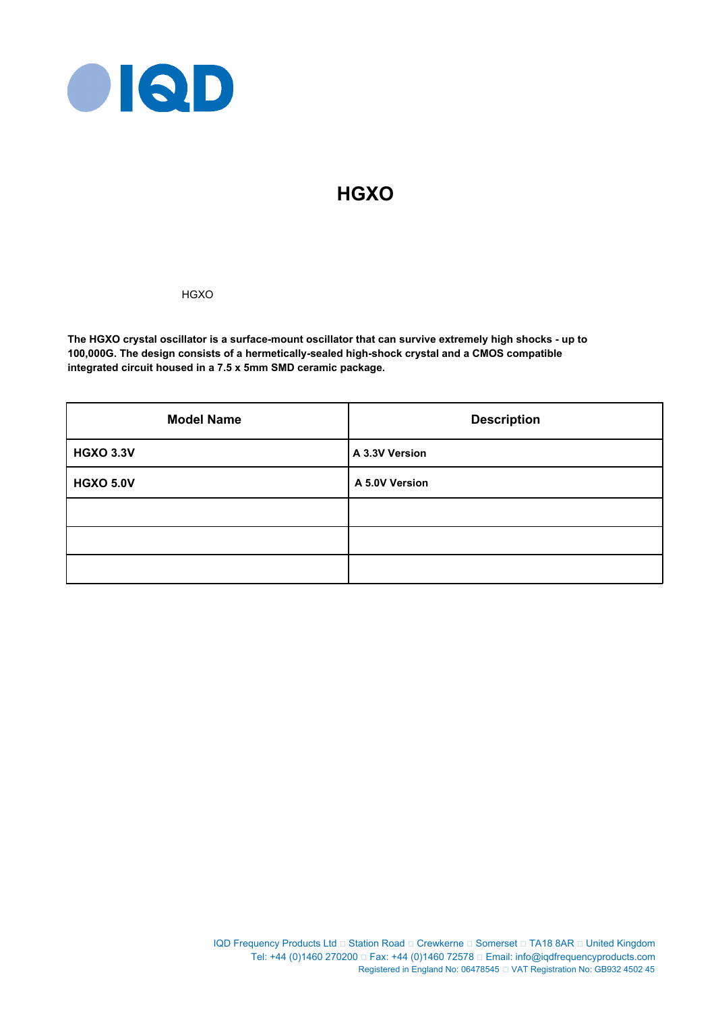

# **HGXO**

**HGXO** 

**The HGXO crystal oscillator is a surface-mount oscillator that can survive extremely high shocks - up to 100,000G. The design consists of a hermetically-sealed high-shock crystal and a CMOS compatible integrated circuit housed in a 7.5 x 5mm SMD ceramic package.**

| <b>Model Name</b> | <b>Description</b> |  |
|-------------------|--------------------|--|
| <b>HGXO 3.3V</b>  | A 3.3V Version     |  |
| <b>HGXO 5.0V</b>  | A 5.0V Version     |  |
|                   |                    |  |
|                   |                    |  |
|                   |                    |  |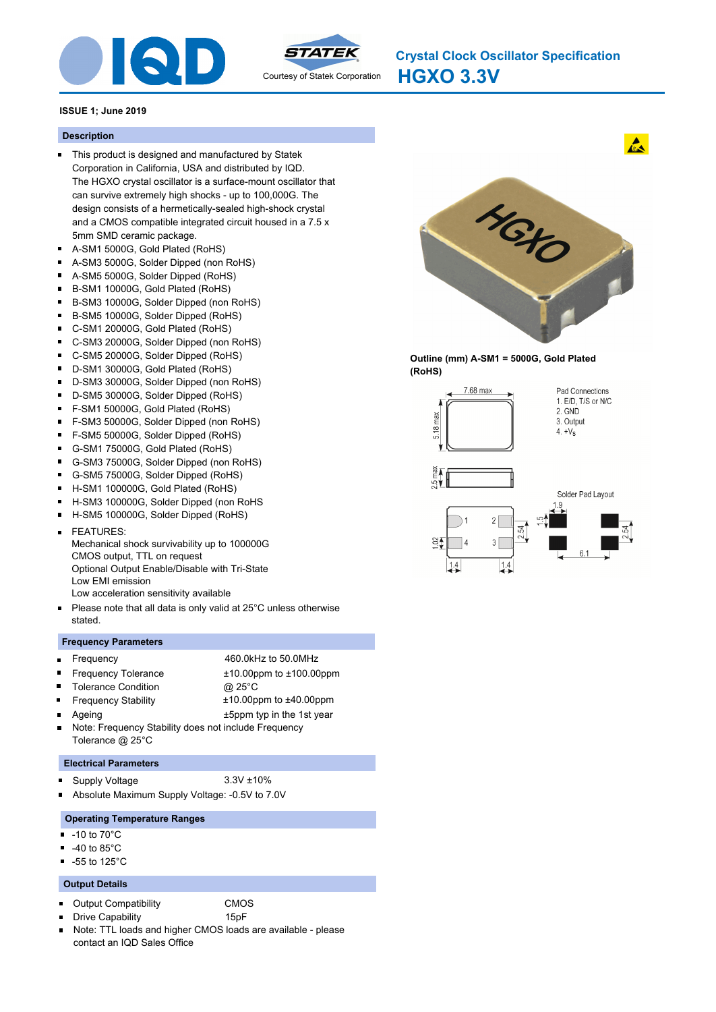



**HGXO 3.3V Crystal Clock Oscillator Specification**

### **ISSUE 1; June 2019**

#### **Description**

- This product is designed and manufactured by Statek Corporation in California, USA and distributed by IQD. The HGXO crystal oscillator is a surface-mount oscillator that can survive extremely high shocks - up to 100,000G. The design consists of a hermetically-sealed high-shock crystal and a CMOS compatible integrated circuit housed in a 7.5 x 5mm SMD ceramic package.
- A-SM1 5000G, Gold Plated (RoHS)  $\blacksquare$
- A-SM3 5000G, Solder Dipped (non RoHS)
- A-SM5 5000G, Solder Dipped (RoHS)
- B-SM1 10000G, Gold Plated (RoHS)  $\blacksquare$
- $\blacksquare$ B-SM3 10000G, Solder Dipped (non RoHS)
- $\blacksquare$ B-SM5 10000G, Solder Dipped (RoHS)
- C-SM1 20000G, Gold Plated (RoHS)  $\blacksquare$
- $\blacksquare$ C-SM3 20000G, Solder Dipped (non RoHS)
- C-SM5 20000G, Solder Dipped (RoHS)
- $\blacksquare$ D-SM1 30000G, Gold Plated (RoHS)
- $\blacksquare$ D-SM3 30000G, Solder Dipped (non RoHS)
- $\blacksquare$ D-SM5 30000G, Solder Dipped (RoHS)
- $\blacksquare$ F-SM1 50000G, Gold Plated (RoHS)
- $\blacksquare$ F-SM3 50000G, Solder Dipped (non RoHS)
- F-SM5 50000G, Solder Dipped (RoHS)  $\blacksquare$
- $\blacksquare$ G-SM1 75000G, Gold Plated (RoHS)
- $\blacksquare$ G-SM3 75000G, Solder Dipped (non RoHS)
- G-SM5 75000G, Solder Dipped (RoHS)  $\blacksquare$
- H-SM1 100000G, Gold Plated (RoHS)
- H-SM3 100000G, Solder Dipped (non RoHS
- $\blacksquare$ H-SM5 100000G, Solder Dipped (RoHS)
- FEATURES: Mechanical shock survivability up to 100000G CMOS output, TTL on request Optional Output Enable/Disable with Tri-State
- Low EMI emission
- Low acceleration sensitivity available
- Please note that all data is only valid at 25°C unless otherwise stated.

#### **Frequency Parameters**

- Frequency 460.0kHz to 50.0MHz
- 
- Frequency Tolerance ±10.00ppm to ±100.00ppm
- $\blacksquare$ Tolerance Condition **@ 25°C** 
	- Frequency Stability ±10.00ppm to ±40.00ppm
		-
- Ageing the 1st year the 1st year the 1st year Note: Frequency Stability does not include Frequency Tolerance @ 25°C

#### **Electrical Parameters**

Supply Voltage 3.3V ±10%

 $\blacksquare$ 

- 
- Absolute Maximum Supply Voltage: -0.5V to 7.0V

#### **Operating Temperature Ranges**

- -10 to 70°C
- -40 to 85°C
- -55 to 125°C

#### **Output Details**

- $\blacksquare$ Output Compatibility CMOS
- Drive Capability 15pF
- Note: TTL loads and higher CMOS loads are available please contact an IQD Sales Office



 $\mathbf{A}$ 

**Outline (mm) A-SM1 = 5000G, Gold Plated (RoHS)**

 $1.4$ 



 $1.4$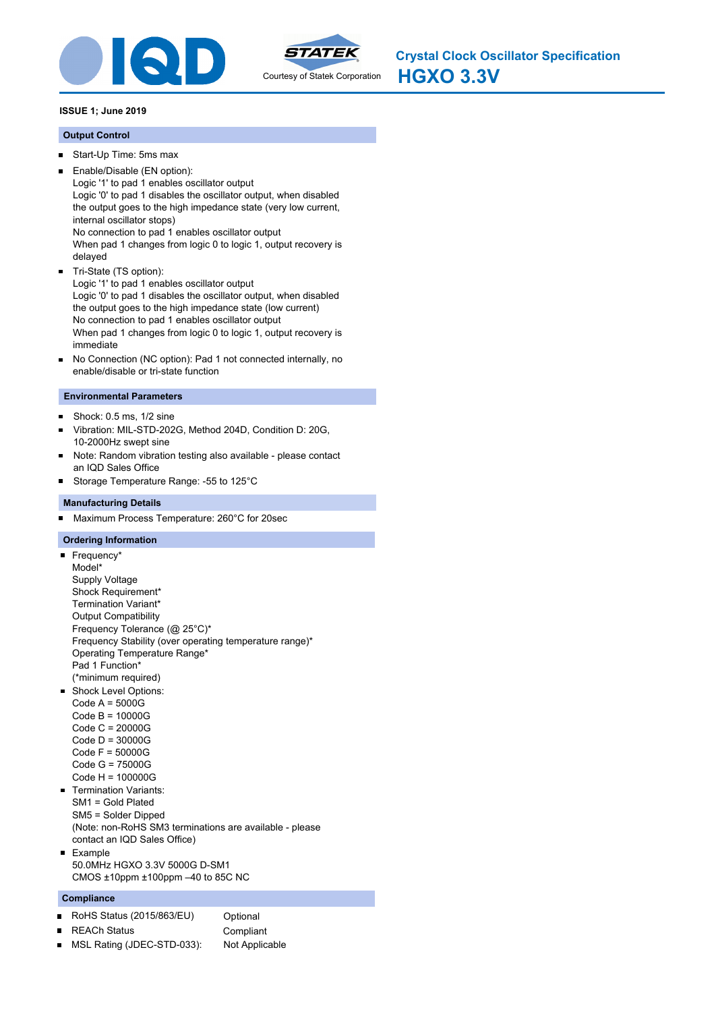



**HGXO 3.3V Crystal Clock Oscillator Specification**

# **ISSUE 1; June 2019**

### **Output Control**

- Start-Up Time: 5ms max  $\blacksquare$
- Enable/Disable (EN option): Logic '1' to pad 1 enables oscillator output Logic '0' to pad 1 disables the oscillator output, when disabled the output goes to the high impedance state (very low current, internal oscillator stops) No connection to pad 1 enables oscillator output When pad 1 changes from logic 0 to logic 1, output recovery is delayed Tri-State (TS option):

Logic '1' to pad 1 enables oscillator output Logic '0' to pad 1 disables the oscillator output, when disabled the output goes to the high impedance state (low current) No connection to pad 1 enables oscillator output When pad 1 changes from logic 0 to logic 1, output recovery is immediate

No Connection (NC option): Pad 1 not connected internally, no  $\blacksquare$ enable/disable or tri-state function

### **Environmental Parameters**

- Shock: 0.5 ms, 1/2 sine  $\blacksquare$
- $\blacksquare$ Vibration: MIL-STD-202G, Method 204D, Condition D: 20G, 10-2000Hz swept sine
- $\blacksquare$ Note: Random vibration testing also available - please contact an IQD Sales Office
- Storage Temperature Range: -55 to 125°C

### **Manufacturing Details**

Maximum Process Temperature: 260°C for 20sec

### **Ordering Information**

Frequency\* Model\* Supply Voltage Shock Requirement\* Termination Variant\* Output Compatibility Frequency Tolerance (@ 25°C)\* Frequency Stability (over operating temperature range)\* Operating Temperature Range\* Pad 1 Function\* (\*minimum required) **Shock Level Options:** Code A = 5000G Code B = 10000G Code C = 20000G

Code D = 30000G Code F = 50000G Code G = 75000G Code H = 100000G

- Termination Variants: SM1 = Gold Plated SM5 = Solder Dipped (Note: non-RoHS SM3 terminations are available - please contact an IQD Sales Office)
- **Example** 50.0MHz HGXO 3.3V 5000G D-SM1 CMOS ±10ppm ±100ppm –40 to 85C NC

### **Compliance**

- RoHS Status (2015/863/EU) Optional  $\blacksquare$
- REACh Status **Compliant**  $\blacksquare$
- 
- MSL Rating (JDEC-STD-033): Not Applicable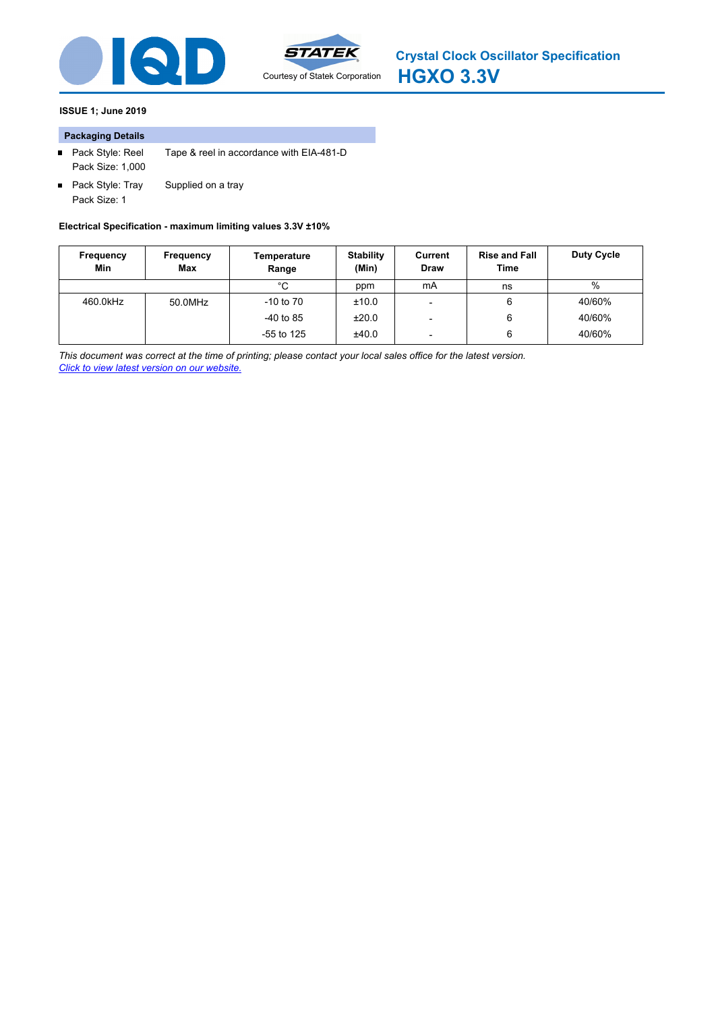



### **ISSUE 1; June 2019**

### **Packaging Details**

- Pack Style: Reel Tape & reel in accordance with EIA-481-D Pack Size: 1,000
- Pack Style: Tray Supplied on a tray Pack Size: 1

**Electrical Specification - maximum limiting values 3.3V ±10%**

| Frequency<br>Min | Frequency<br>Max | Temperature<br>Range | <b>Stability</b><br>(Min) | Current<br><b>Draw</b> | <b>Rise and Fall</b><br>Time | Duty Cycle |
|------------------|------------------|----------------------|---------------------------|------------------------|------------------------------|------------|
|                  |                  | °С                   | ppm                       | mA                     | ns                           | $\%$       |
| 460.0kHz         | 50.0MHz          | $-10$ to $70$        | ±10.0                     |                        | 6                            | 40/60%     |
|                  |                  | $-40$ to 85          | ±20.0                     |                        | 6                            | 40/60%     |
|                  |                  | $-55$ to 125         | ±40.0                     | -                      | 6                            | 40/60%     |

*This document was correct at the time of printing; please contact your local sales office for the latest version. Click to view latest version on our website.*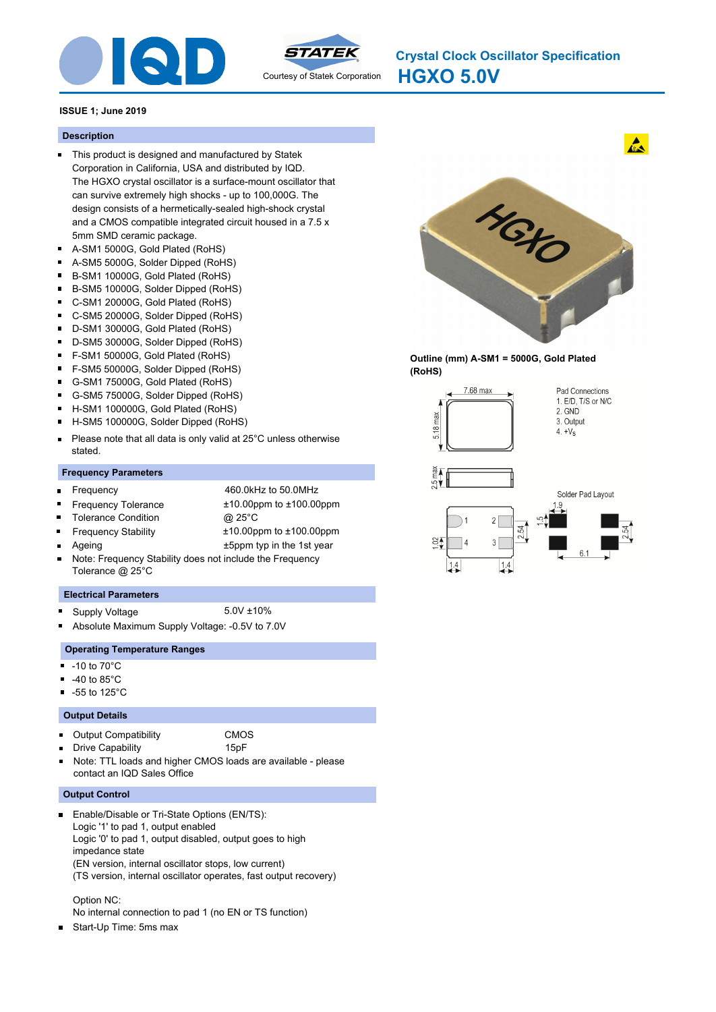



**HGXO 5.0V Crystal Clock Oscillator Specification**

### **ISSUE 1; June 2019**

#### **Description**

- This product is designed and manufactured by Statek Corporation in California, USA and distributed by IQD. The HGXO crystal oscillator is a surface-mount oscillator that can survive extremely high shocks - up to 100,000G. The design consists of a hermetically-sealed high-shock crystal and a CMOS compatible integrated circuit housed in a 7.5 x 5mm SMD ceramic package.
- A-SM1 5000G, Gold Plated (RoHS)  $\blacksquare$
- $\blacksquare$ A-SM5 5000G, Solder Dipped (RoHS)
- $\blacksquare$ B-SM1 10000G, Gold Plated (RoHS)
- B-SM5 10000G, Solder Dipped (RoHS)  $\blacksquare$
- $\blacksquare$ C-SM1 20000G, Gold Plated (RoHS)
- $\blacksquare$ C-SM5 20000G, Solder Dipped (RoHS)
- D-SM1 30000G, Gold Plated (RoHS)  $\blacksquare$
- $\blacksquare$ D-SM5 30000G, Solder Dipped (RoHS)
- $\blacksquare$ F-SM1 50000G, Gold Plated (RoHS)
- $\blacksquare$ F-SM5 50000G, Solder Dipped (RoHS)
- $\blacksquare$ G-SM1 75000G, Gold Plated (RoHS)
- $\blacksquare$ G-SM5 75000G, Solder Dipped (RoHS)
- $\blacksquare$ H-SM1 100000G, Gold Plated (RoHS)
- H-SM5 100000G, Solder Dipped (RoHS)  $\blacksquare$
- Please note that all data is only valid at 25°C unless otherwise  $\blacksquare$ stated.

#### **Frequency Parameters**

 $\blacksquare$ 

Frequency 460.0kHz to 50.0MHz Frequency Tolerance ±10.00ppm to ±100.00ppm

Tolerance Condition @ 25°C

- Frequency Stability ±10.00ppm to ±100.00ppm
- Ageing  $\qquad \qquad \text{+5ppm typ in the 1st year}$
- Note: Frequency Stability does not include the Frequency Tolerance @ 25°C

#### **Electrical Parameters**

- Supply Voltage 5.0V ±10%
- Absolute Maximum Supply Voltage: -0.5V to 7.0V

#### **Operating Temperature Ranges**

- $\blacksquare$ -10 to 70°C
- -40 to 85°C
- -55 to 125°C  $\blacksquare$

#### **Output Details**

 $\blacksquare$ 

|  | <b>Output Compatibility</b> | <b>CMOS</b> |
|--|-----------------------------|-------------|
|  |                             |             |

- Drive Capability **15pF** 
	-
- Note: TTL loads and higher CMOS loads are available please contact an IQD Sales Office

#### **Output Control**

Enable/Disable or Tri-State Options (EN/TS): Logic '1' to pad 1, output enabled Logic '0' to pad 1, output disabled, output goes to high impedance state (EN version, internal oscillator stops, low current) (TS version, internal oscillator operates, fast output recovery)

#### Option NC:

- No internal connection to pad 1 (no EN or TS function)
- Start-Up Time: 5ms max



 $\mathbf{A}$ 

**Outline (mm) A-SM1 = 5000G, Gold Plated (RoHS)**



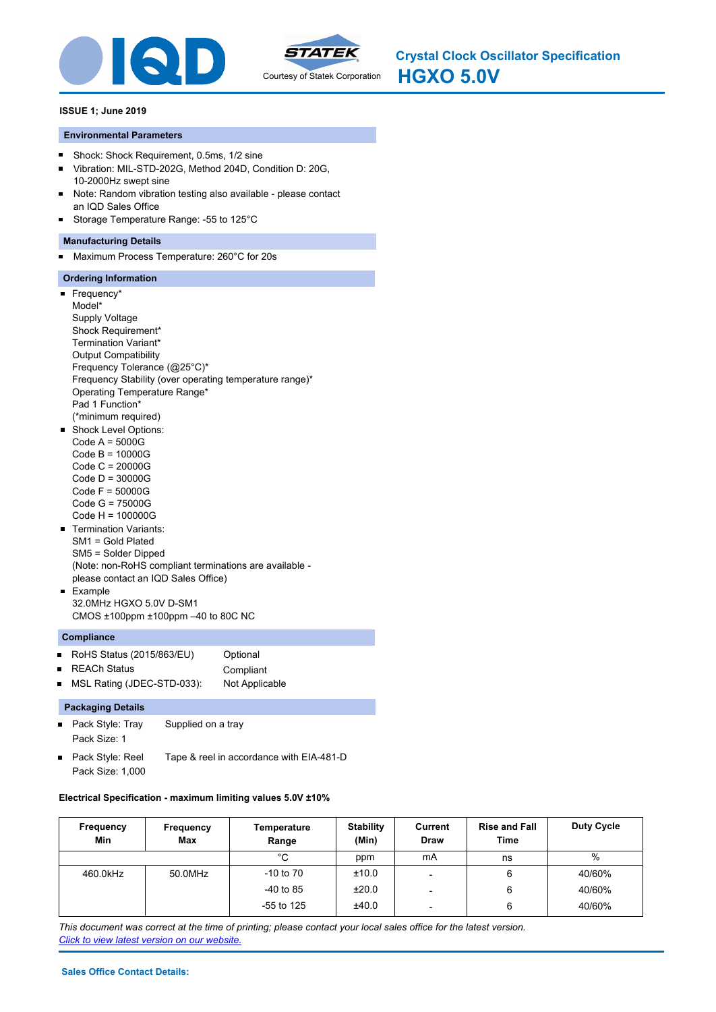



### **ISSUE 1; June 2019**

### **Environmental Parameters**

- $\blacksquare$ Shock: Shock Requirement, 0.5ms, 1/2 sine
- Vibration: MIL-STD-202G, Method 204D, Condition D: 20G,  $\blacksquare$ 10-2000Hz swept sine
- Note: Random vibration testing also available please contact  $\blacksquare$ an IQD Sales Office
- Storage Temperature Range: -55 to 125°C  $\blacksquare$

### **Manufacturing Details**

Maximum Process Temperature: 260°C for 20s  $\blacksquare$ 

## **Ordering Information**

**Frequency\*** Model\* Supply Voltage Shock Requirement\* Termination Variant\* Output Compatibility Frequency Tolerance (@25°C)\* Frequency Stability (over operating temperature range)\* Operating Temperature Range\* Pad 1 Function\* (\*minimum required) **Shock Level Options:** Code A = 5000G Code B = 10000G Code C = 20000G Code D = 30000G Code F = 50000G Code G = 75000G Code H = 100000G Termination Variants: SM1 = Gold Plated SM5 = Solder Dipped (Note: non-RoHS compliant terminations are available please contact an IQD Sales Office) **Example** 

# 32.0MHz HGXO 5.0V D-SM1 CMOS ±100ppm ±100ppm –40 to 80C NC

### **Compliance**

- RoHS Status (2015/863/EU) Optional  $\blacksquare$
- REACh Status **Compliant**  $\blacksquare$
- $\blacksquare$ MSL Rating (JDEC-STD-033): Not Applicable

### **Packaging Details**

- Pack Style: Tray Supplied on a tray Pack Size: 1
- $\blacksquare$ Pack Style: Reel Tape & reel in accordance with EIA-481-D Pack Size: 1,000

### **Electrical Specification - maximum limiting values 5.0V ±10%**

| Frequency<br>Min | Frequency<br>Max | Temperature<br>Range | <b>Stability</b><br>(Min) | Current<br><b>Draw</b>   | <b>Rise and Fall</b><br>Time | Duty Cycle |
|------------------|------------------|----------------------|---------------------------|--------------------------|------------------------------|------------|
|                  |                  | $^{\circ}$ C         | ppm                       | mA                       | ns                           | %          |
| 460.0kHz         | 50.0MHz          | $-10$ to $70$        | ±10.0                     |                          | 6                            | 40/60%     |
|                  |                  | $-40$ to 85          | ±20.0                     |                          | 6                            | 40/60%     |
|                  |                  | $-55$ to 125         | ±40.0                     | $\overline{\phantom{0}}$ | 6                            | 40/60%     |

*This document was correct at the time of printing; please contact your local sales office for the latest version. Click to view latest version on our website.*